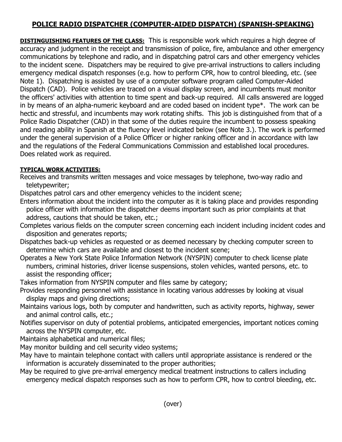## **POLICE RADIO DISPATCHER (COMPUTER-AIDED DISPATCH) (SPANISH-SPEAKING)**

**DISTINGUISHING FEATURES OF THE CLASS:** This is responsible work which requires a high degree of accuracy and judgment in the receipt and transmission of police, fire, ambulance and other emergency communications by telephone and radio, and in dispatching patrol cars and other emergency vehicles to the incident scene. Dispatchers may be required to give pre-arrival instructions to callers including emergency medical dispatch responses (e.g. how to perform CPR, how to control bleeding, etc. (see Note 1). Dispatching is assisted by use of a computer software program called Computer-Aided Dispatch (CAD). Police vehicles are traced on a visual display screen, and incumbents must monitor the officers' activities with attention to time spent and back-up required. All calls answered are logged in by means of an alpha-numeric keyboard and are coded based on incident type\*. The work can be hectic and stressful, and incumbents may work rotating shifts. This job is distinguished from that of a Police Radio Dispatcher (CAD) in that some of the duties require the incumbent to possess speaking and reading ability in Spanish at the fluency level indicated below (see Note 3.). The work is performed under the general supervision of a Police Officer or higher ranking officer and in accordance with law and the regulations of the Federal Communications Commission and established local procedures. Does related work as required.

## **TYPICAL WORK ACTIVITIES:**

- Receives and transmits written messages and voice messages by telephone, two-way radio and teletypewriter;
- Dispatches patrol cars and other emergency vehicles to the incident scene;
- Enters information about the incident into the computer as it is taking place and provides responding police officer with information the dispatcher deems important such as prior complaints at that address, cautions that should be taken, etc.;
- Completes various fields on the computer screen concerning each incident including incident codes and disposition and generates reports;
- Dispatches back-up vehicles as requested or as deemed necessary by checking computer screen to determine which cars are available and closest to the incident scene;
- Operates a New York State Police Information Network (NYSPIN) computer to check license plate numbers, criminal histories, driver license suspensions, stolen vehicles, wanted persons, etc. to assist the responding officer;
- Takes information from NYSPIN computer and files same by category;
- Provides responding personnel with assistance in locating various addresses by looking at visual display maps and giving directions;
- Maintains various logs, both by computer and handwritten, such as activity reports, highway, sewer and animal control calls, etc.;
- Notifies supervisor on duty of potential problems, anticipated emergencies, important notices coming across the NYSPIN computer, etc.
- Maintains alphabetical and numerical files;
- May monitor building and cell security video systems;
- May have to maintain telephone contact with callers until appropriate assistance is rendered or the information is accurately disseminated to the proper authorities;
- May be required to give pre-arrival emergency medical treatment instructions to callers including emergency medical dispatch responses such as how to perform CPR, how to control bleeding, etc.